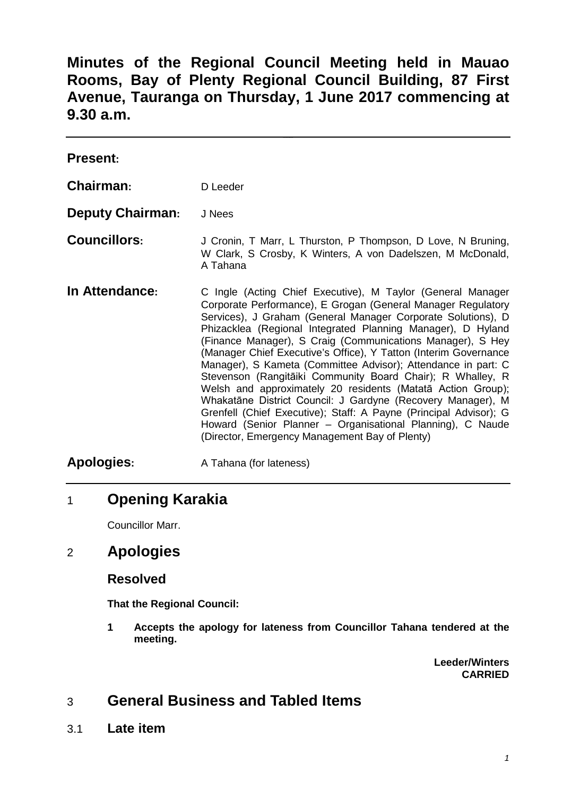**Minutes of the Regional Council Meeting held in Mauao Rooms, Bay of Plenty Regional Council Building, 87 First Avenue, Tauranga on Thursday, 1 June 2017 commencing at 9.30 a.m.**

| <b>Present:</b>         |                                                                                                                                                                                                                                                                                                                                                                                                                                                                                                                                                                                                                                                                                                                                                                                                                                                |
|-------------------------|------------------------------------------------------------------------------------------------------------------------------------------------------------------------------------------------------------------------------------------------------------------------------------------------------------------------------------------------------------------------------------------------------------------------------------------------------------------------------------------------------------------------------------------------------------------------------------------------------------------------------------------------------------------------------------------------------------------------------------------------------------------------------------------------------------------------------------------------|
| Chairman:               | D Leeder                                                                                                                                                                                                                                                                                                                                                                                                                                                                                                                                                                                                                                                                                                                                                                                                                                       |
| <b>Deputy Chairman:</b> | J Nees                                                                                                                                                                                                                                                                                                                                                                                                                                                                                                                                                                                                                                                                                                                                                                                                                                         |
| <b>Councillors:</b>     | J Cronin, T Marr, L Thurston, P Thompson, D Love, N Bruning,<br>W Clark, S Crosby, K Winters, A von Dadelszen, M McDonald,<br>A Tahana                                                                                                                                                                                                                                                                                                                                                                                                                                                                                                                                                                                                                                                                                                         |
| In Attendance:          | C Ingle (Acting Chief Executive), M Taylor (General Manager<br>Corporate Performance), E Grogan (General Manager Regulatory<br>Services), J Graham (General Manager Corporate Solutions), D<br>Phizacklea (Regional Integrated Planning Manager), D Hyland<br>(Finance Manager), S Craig (Communications Manager), S Hey<br>(Manager Chief Executive's Office), Y Tatton (Interim Governance<br>Manager), S Kameta (Committee Advisor); Attendance in part: C<br>Stevenson (Rangitāiki Community Board Chair); R Whalley, R<br>Welsh and approximately 20 residents (Matatā Action Group);<br>Whakatāne District Council: J Gardyne (Recovery Manager), M<br>Grenfell (Chief Executive); Staff: A Payne (Principal Advisor); G<br>Howard (Senior Planner - Organisational Planning), C Naude<br>(Director, Emergency Management Bay of Plenty) |
| <b>Apologies:</b>       | A Tahana (for lateness)                                                                                                                                                                                                                                                                                                                                                                                                                                                                                                                                                                                                                                                                                                                                                                                                                        |

# 1 **Opening Karakia**

Councillor Marr.

## 2 **Apologies**

## **Resolved**

**That the Regional Council:**

**1 Accepts the apology for lateness from Councillor Tahana tendered at the meeting.**

> **Leeder/Winters CARRIED**

# 3 **General Business and Tabled Items**

3.1 **Late item**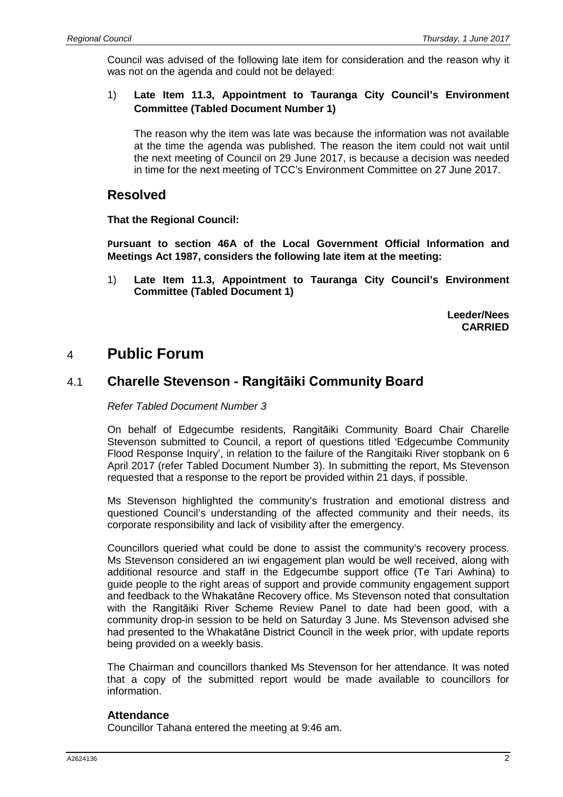Council was advised of the following late item for consideration and the reason why it was not on the agenda and could not be delayed:

#### 1) **Late Item 11.3, Appointment to Tauranga City Council's Environment Committee (Tabled Document Number 1)**

The reason why the item was late was because the information was not available at the time the agenda was published. The reason the item could not wait until the next meeting of Council on 29 June 2017, is because a decision was needed in time for the next meeting of TCC's Environment Committee on 27 June 2017.

### **Resolved**

**That the Regional Council:**

**Pursuant to section 46A of the Local Government Official Information and Meetings Act 1987, considers the following late item at the meeting:**

1) **Late Item 11.3, Appointment to Tauranga City Council's Environment Committee (Tabled Document 1)**

> **Leeder/Nees CARRIED**

## 4 **Public Forum**

## 4.1 **Charelle Stevenson - Rangitāiki Community Board**

*Refer Tabled Document Number 3*

On behalf of Edgecumbe residents, Rangitāiki Community Board Chair Charelle Stevenson submitted to Council, a report of questions titled 'Edgecumbe Community Flood Response Inquiry', in relation to the failure of the Rangitaiki River stopbank on 6 April 2017 (refer Tabled Document Number 3). In submitting the report, Ms Stevenson requested that a response to the report be provided within 21 days, if possible.

Ms Stevenson highlighted the community's frustration and emotional distress and questioned Council's understanding of the affected community and their needs, its corporate responsibility and lack of visibility after the emergency.

Councillors queried what could be done to assist the community's recovery process. Ms Stevenson considered an iwi engagement plan would be well received, along with additional resource and staff in the Edgecumbe support office (Te Tari Awhina) to guide people to the right areas of support and provide community engagement support and feedback to the Whakatāne Recovery office. Ms Stevenson noted that consultation with the Rangitāiki River Scheme Review Panel to date had been good, with a community drop-in session to be held on Saturday 3 June. Ms Stevenson advised she had presented to the Whakatāne District Council in the week prior, with update reports being provided on a weekly basis.

The Chairman and councillors thanked Ms Stevenson for her attendance. It was noted that a copy of the submitted report would be made available to councillors for information.

#### **Attendance**

Councillor Tahana entered the meeting at 9:46 am.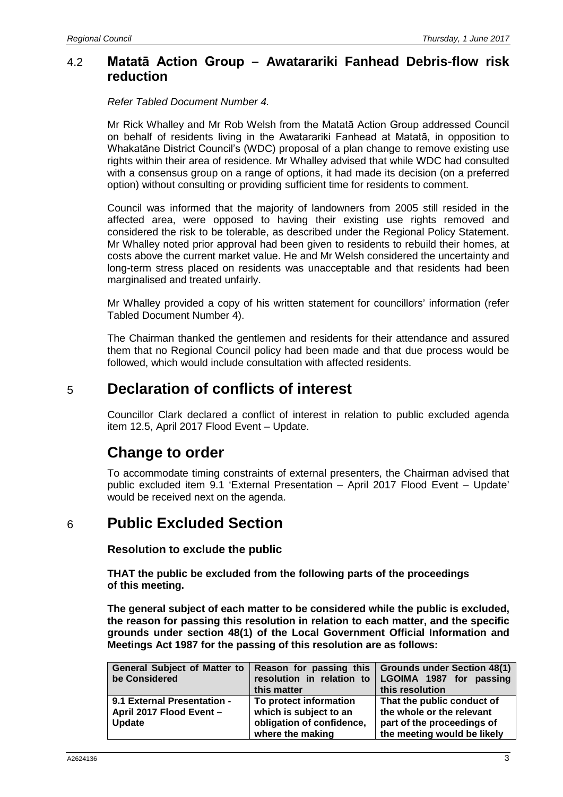### 4.2 **Matatā Action Group – Awatarariki Fanhead Debris-flow risk reduction**

*Refer Tabled Document Number 4.*

Mr Rick Whalley and Mr Rob Welsh from the Matatā Action Group addressed Council on behalf of residents living in the Awatarariki Fanhead at Matatā, in opposition to Whakatāne District Council's (WDC) proposal of a plan change to remove existing use rights within their area of residence. Mr Whalley advised that while WDC had consulted with a consensus group on a range of options, it had made its decision (on a preferred option) without consulting or providing sufficient time for residents to comment.

Council was informed that the majority of landowners from 2005 still resided in the affected area, were opposed to having their existing use rights removed and considered the risk to be tolerable, as described under the Regional Policy Statement. Mr Whalley noted prior approval had been given to residents to rebuild their homes, at costs above the current market value. He and Mr Welsh considered the uncertainty and long-term stress placed on residents was unacceptable and that residents had been marginalised and treated unfairly.

Mr Whalley provided a copy of his written statement for councillors' information (refer Tabled Document Number 4).

The Chairman thanked the gentlemen and residents for their attendance and assured them that no Regional Council policy had been made and that due process would be followed, which would include consultation with affected residents.

## 5 **Declaration of conflicts of interest**

Councillor Clark declared a conflict of interest in relation to public excluded agenda item 12.5, April 2017 Flood Event – Update.

# **Change to order**

To accommodate timing constraints of external presenters, the Chairman advised that public excluded item 9.1 'External Presentation – April 2017 Flood Event – Update' would be received next on the agenda.

## 6 **Public Excluded Section**

**Resolution to exclude the public**

**THAT the public be excluded from the following parts of the proceedings of this meeting.**

**The general subject of each matter to be considered while the public is excluded, the reason for passing this resolution in relation to each matter, and the specific grounds under section 48(1) of the Local Government Official Information and Meetings Act 1987 for the passing of this resolution are as follows:**

| <b>General Subject of Matter to</b><br>be Considered                     | this matter                                                                                       | Reason for passing this   Grounds under Section 48(1)<br>resolution in relation to   LGOIMA 1987 for passing<br>this resolution |
|--------------------------------------------------------------------------|---------------------------------------------------------------------------------------------------|---------------------------------------------------------------------------------------------------------------------------------|
| 9.1 External Presentation -<br>April 2017 Flood Event -<br><b>Update</b> | To protect information<br>which is subject to an<br>obligation of confidence,<br>where the making | That the public conduct of<br>the whole or the relevant<br>part of the proceedings of<br>the meeting would be likely            |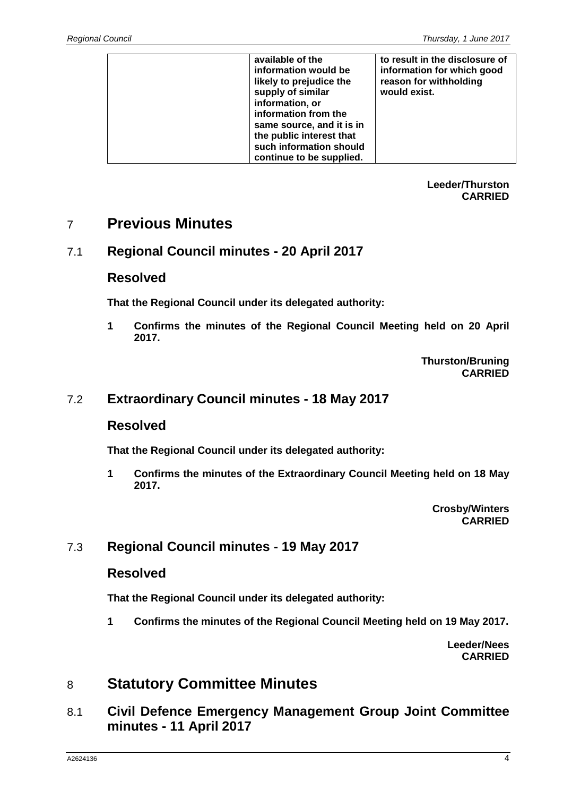| available of the          | to result in the disclosure of |
|---------------------------|--------------------------------|
|                           |                                |
| information would be      | information for which good     |
| likely to prejudice the   | reason for withholding         |
|                           |                                |
| supply of similar         | would exist.                   |
| information, or           |                                |
|                           |                                |
| information from the      |                                |
| same source, and it is in |                                |
| the public interest that  |                                |
|                           |                                |
| such information should   |                                |
| continue to be supplied.  |                                |

**Leeder/Thurston CARRIED**

## 7 **Previous Minutes**

## 7.1 **Regional Council minutes - 20 April 2017**

## **Resolved**

**That the Regional Council under its delegated authority:**

**1 Confirms the minutes of the Regional Council Meeting held on 20 April 2017.**

> **Thurston/Bruning CARRIED**

## 7.2 **Extraordinary Council minutes - 18 May 2017**

#### **Resolved**

**That the Regional Council under its delegated authority:**

**1 Confirms the minutes of the Extraordinary Council Meeting held on 18 May 2017.**

> **Crosby/Winters CARRIED**

## 7.3 **Regional Council minutes - 19 May 2017**

### **Resolved**

**That the Regional Council under its delegated authority:**

**1 Confirms the minutes of the Regional Council Meeting held on 19 May 2017.**

**Leeder/Nees CARRIED**

## 8 **Statutory Committee Minutes**

8.1 **Civil Defence Emergency Management Group Joint Committee minutes - 11 April 2017**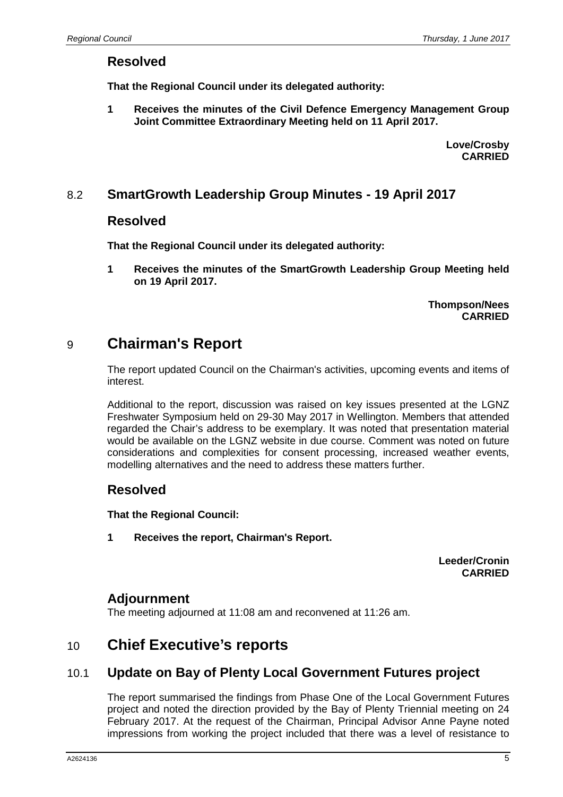### **Resolved**

**That the Regional Council under its delegated authority:**

**1 Receives the minutes of the Civil Defence Emergency Management Group Joint Committee Extraordinary Meeting held on 11 April 2017.**

> **Love/Crosby CARRIED**

### 8.2 **SmartGrowth Leadership Group Minutes - 19 April 2017**

#### **Resolved**

**That the Regional Council under its delegated authority:**

**1 Receives the minutes of the SmartGrowth Leadership Group Meeting held on 19 April 2017.**

> **Thompson/Nees CARRIED**

## 9 **Chairman's Report**

The report updated Council on the Chairman's activities, upcoming events and items of interest.

Additional to the report, discussion was raised on key issues presented at the LGNZ Freshwater Symposium held on 29-30 May 2017 in Wellington. Members that attended regarded the Chair's address to be exemplary. It was noted that presentation material would be available on the LGNZ website in due course. Comment was noted on future considerations and complexities for consent processing, increased weather events, modelling alternatives and the need to address these matters further.

## **Resolved**

**That the Regional Council:**

**1 Receives the report, Chairman's Report.**

**Leeder/Cronin CARRIED**

### **Adjournment**

The meeting adjourned at 11:08 am and reconvened at 11:26 am.

## 10 **Chief Executive's reports**

## 10.1 **Update on Bay of Plenty Local Government Futures project**

The report summarised the findings from Phase One of the Local Government Futures project and noted the direction provided by the Bay of Plenty Triennial meeting on 24 February 2017. At the request of the Chairman, Principal Advisor Anne Payne noted impressions from working the project included that there was a level of resistance to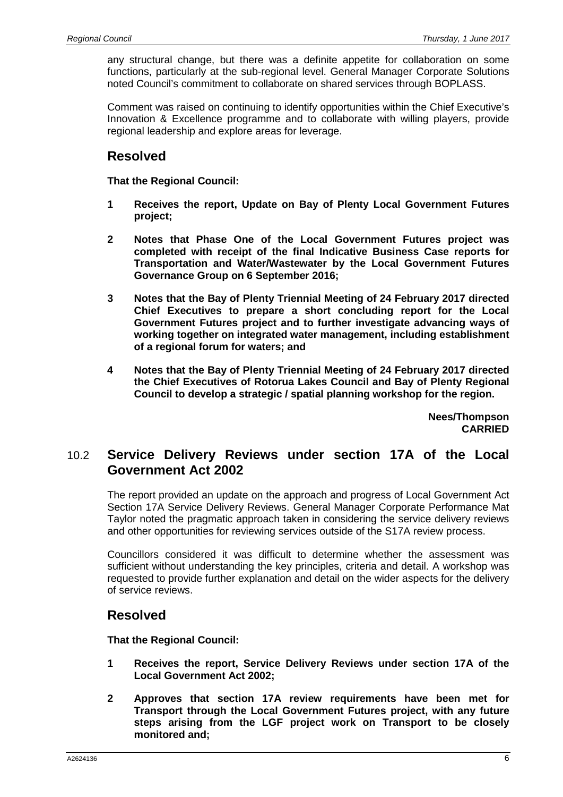any structural change, but there was a definite appetite for collaboration on some functions, particularly at the sub-regional level. General Manager Corporate Solutions noted Council's commitment to collaborate on shared services through BOPLASS.

Comment was raised on continuing to identify opportunities within the Chief Executive's Innovation & Excellence programme and to collaborate with willing players, provide regional leadership and explore areas for leverage.

## **Resolved**

**That the Regional Council:**

- **1 Receives the report, Update on Bay of Plenty Local Government Futures project;**
- **2 Notes that Phase One of the Local Government Futures project was completed with receipt of the final Indicative Business Case reports for Transportation and Water/Wastewater by the Local Government Futures Governance Group on 6 September 2016;**
- **3 Notes that the Bay of Plenty Triennial Meeting of 24 February 2017 directed Chief Executives to prepare a short concluding report for the Local Government Futures project and to further investigate advancing ways of working together on integrated water management, including establishment of a regional forum for waters; and**
- **4 Notes that the Bay of Plenty Triennial Meeting of 24 February 2017 directed the Chief Executives of Rotorua Lakes Council and Bay of Plenty Regional Council to develop a strategic / spatial planning workshop for the region.**

**Nees/Thompson CARRIED**

## 10.2 **Service Delivery Reviews under section 17A of the Local Government Act 2002**

The report provided an update on the approach and progress of Local Government Act Section 17A Service Delivery Reviews. General Manager Corporate Performance Mat Taylor noted the pragmatic approach taken in considering the service delivery reviews and other opportunities for reviewing services outside of the S17A review process.

Councillors considered it was difficult to determine whether the assessment was sufficient without understanding the key principles, criteria and detail. A workshop was requested to provide further explanation and detail on the wider aspects for the delivery of service reviews.

## **Resolved**

**That the Regional Council:**

- **1 Receives the report, Service Delivery Reviews under section 17A of the Local Government Act 2002;**
- **2 Approves that section 17A review requirements have been met for Transport through the Local Government Futures project, with any future steps arising from the LGF project work on Transport to be closely monitored and;**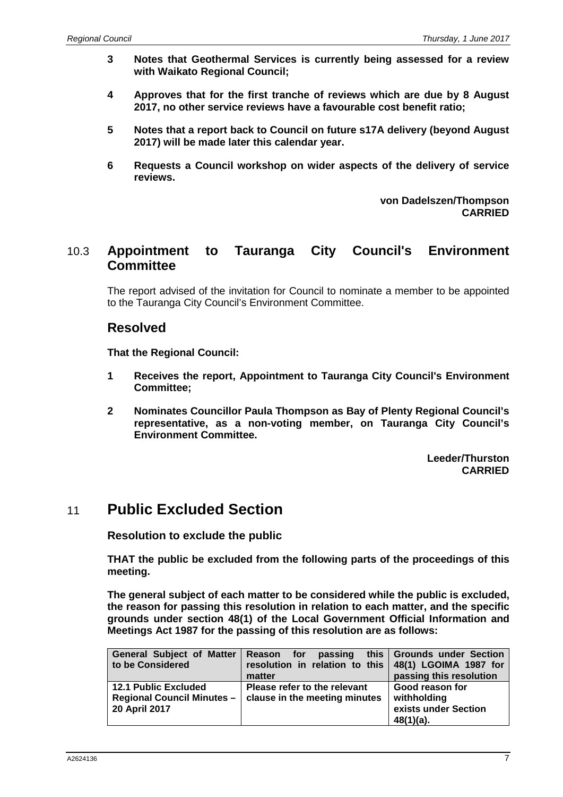- **3 Notes that Geothermal Services is currently being assessed for a review with Waikato Regional Council;**
- **4 Approves that for the first tranche of reviews which are due by 8 August 2017, no other service reviews have a favourable cost benefit ratio;**
- **5 Notes that a report back to Council on future s17A delivery (beyond August 2017) will be made later this calendar year.**
- **6 Requests a Council workshop on wider aspects of the delivery of service reviews.**

**von Dadelszen/Thompson CARRIED**

## 10.3 **Appointment to Tauranga City Council's Environment Committee**

The report advised of the invitation for Council to nominate a member to be appointed to the Tauranga City Council's Environment Committee.

### **Resolved**

**That the Regional Council:**

- **1 Receives the report, Appointment to Tauranga City Council's Environment Committee;**
- **2 Nominates Councillor Paula Thompson as Bay of Plenty Regional Council's representative, as a non-voting member, on Tauranga City Council's Environment Committee.**

**Leeder/Thurston CARRIED**

## 11 **Public Excluded Section**

**Resolution to exclude the public**

**THAT the public be excluded from the following parts of the proceedings of this meeting.**

**The general subject of each matter to be considered while the public is excluded, the reason for passing this resolution in relation to each matter, and the specific grounds under section 48(1) of the Local Government Official Information and Meetings Act 1987 for the passing of this resolution are as follows:**

| <b>General Subject of Matter</b><br>to be Considered                              | Reason for<br>resolution in relation to this   48(1) LGOIMA 1987 for<br>matter | passing this Grounds under Section<br>passing this resolution       |
|-----------------------------------------------------------------------------------|--------------------------------------------------------------------------------|---------------------------------------------------------------------|
| <b>12.1 Public Excluded</b><br><b>Regional Council Minutes -</b><br>20 April 2017 | Please refer to the relevant<br>clause in the meeting minutes                  | Good reason for<br>withholding<br>exists under Section<br>48(1)(a). |